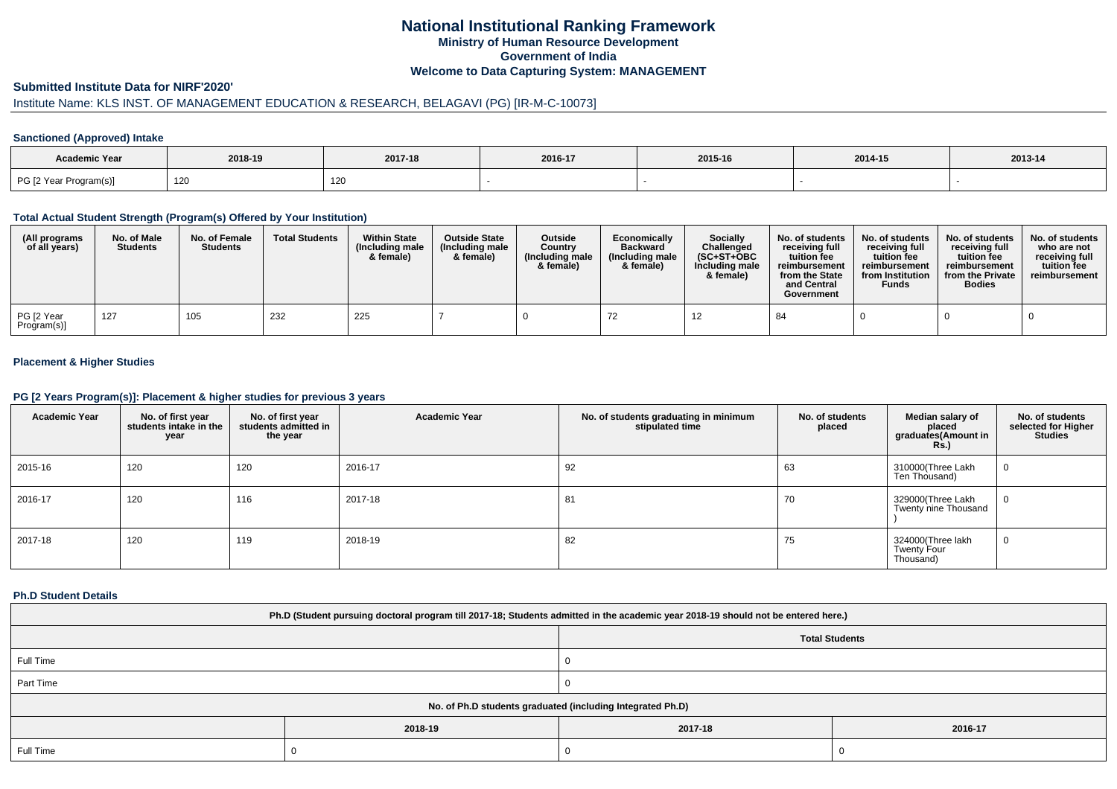# **National Institutional Ranking FrameworkMinistry of Human Resource DevelopmentGovernment of IndiaWelcome to Data Capturing System: MANAGEMENT**

### **Submitted Institute Data for NIRF'2020'**

# Institute Name: KLS INST. OF MANAGEMENT EDUCATION & RESEARCH, BELAGAVI (PG) [IR-M-C-10073]

### **Sanctioned (Approved) Intake**

| Academic Year          | 2018-19 | 2017-18                 | 2016-17 | 2015-16 | 2014-15 | $2013 - 14$ |
|------------------------|---------|-------------------------|---------|---------|---------|-------------|
| PG [2 Year Program(s)] | 120     | $\overline{A}$<br>با ∠ا |         |         |         |             |

#### **Total Actual Student Strength (Program(s) Offered by Your Institution)**

| (All programs<br>of all years) | No. of Male<br><b>Students</b> | No. of Female<br><b>Students</b> | <b>Total Students</b> | <b>Within State</b><br>(Including male<br>& female) | <b>Outside State</b><br>(Including male)<br>& female) | <b>Outside</b><br>Country<br>(Including male<br>& female) | Economically<br><b>Backward</b><br>(Including male<br>& female) | <b>Socially</b><br>Challenged<br>$(SC+ST+OBC$<br>Including male<br>& female) | No. of students<br>receiving full<br>tuition fee<br>reimbursement<br>from the State<br>and Central<br>Government | No. of students<br>receiving full<br>tuition fee<br>reimbursement<br>from Institution<br><b>Funds</b> | No. of students<br>receiving full<br>tuition fee<br>reimbursement<br>from the Private<br><b>Bodies</b> | No. of students<br>who are not<br>receiving full<br>tuition fee<br>reimbursement |
|--------------------------------|--------------------------------|----------------------------------|-----------------------|-----------------------------------------------------|-------------------------------------------------------|-----------------------------------------------------------|-----------------------------------------------------------------|------------------------------------------------------------------------------|------------------------------------------------------------------------------------------------------------------|-------------------------------------------------------------------------------------------------------|--------------------------------------------------------------------------------------------------------|----------------------------------------------------------------------------------|
| PG [2 Year<br>Program(s)]      | 127                            | 105                              | 232                   | 225                                                 |                                                       |                                                           |                                                                 |                                                                              | 84                                                                                                               |                                                                                                       |                                                                                                        |                                                                                  |

### **Placement & Higher Studies**

#### **PG [2 Years Program(s)]: Placement & higher studies for previous 3 years**

| <b>Academic Year</b> | No. of first year<br>students intake in the<br>year | No. of first year<br>students admitted in<br>the year | <b>Academic Year</b> | No. of students graduating in minimum<br>stipulated time | No. of students<br>placed | Median salary of<br>placed<br>graduates(Amount in<br><b>Rs.)</b> | No. of students<br>selected for Higher<br><b>Studies</b> |
|----------------------|-----------------------------------------------------|-------------------------------------------------------|----------------------|----------------------------------------------------------|---------------------------|------------------------------------------------------------------|----------------------------------------------------------|
| 2015-16              | 120                                                 | 120                                                   | 2016-17              | 92                                                       | 63                        | 310000(Three Lakh<br>Ten Thousand)                               | 0                                                        |
| 2016-17              | 120                                                 | 116                                                   | 2017-18              | 81                                                       | 70                        | 329000(Three Lakh<br>Twenty nine Thousand                        | $\mathbf 0$                                              |
| 2017-18              | 120                                                 | 119                                                   | 2018-19              | 82                                                       | 75                        | 324000(Three lakh<br><b>Twenty Four</b><br>Thousand)             | 0                                                        |

#### **Ph.D Student Details**

| Ph.D (Student pursuing doctoral program till 2017-18; Students admitted in the academic year 2018-19 should not be entered here.) |         |                       |         |  |
|-----------------------------------------------------------------------------------------------------------------------------------|---------|-----------------------|---------|--|
|                                                                                                                                   |         | <b>Total Students</b> |         |  |
| Full Time                                                                                                                         |         |                       |         |  |
| Part Time                                                                                                                         |         |                       |         |  |
| No. of Ph.D students graduated (including Integrated Ph.D)                                                                        |         |                       |         |  |
|                                                                                                                                   | 2018-19 | 2017-18               | 2016-17 |  |
| Full Time                                                                                                                         |         |                       |         |  |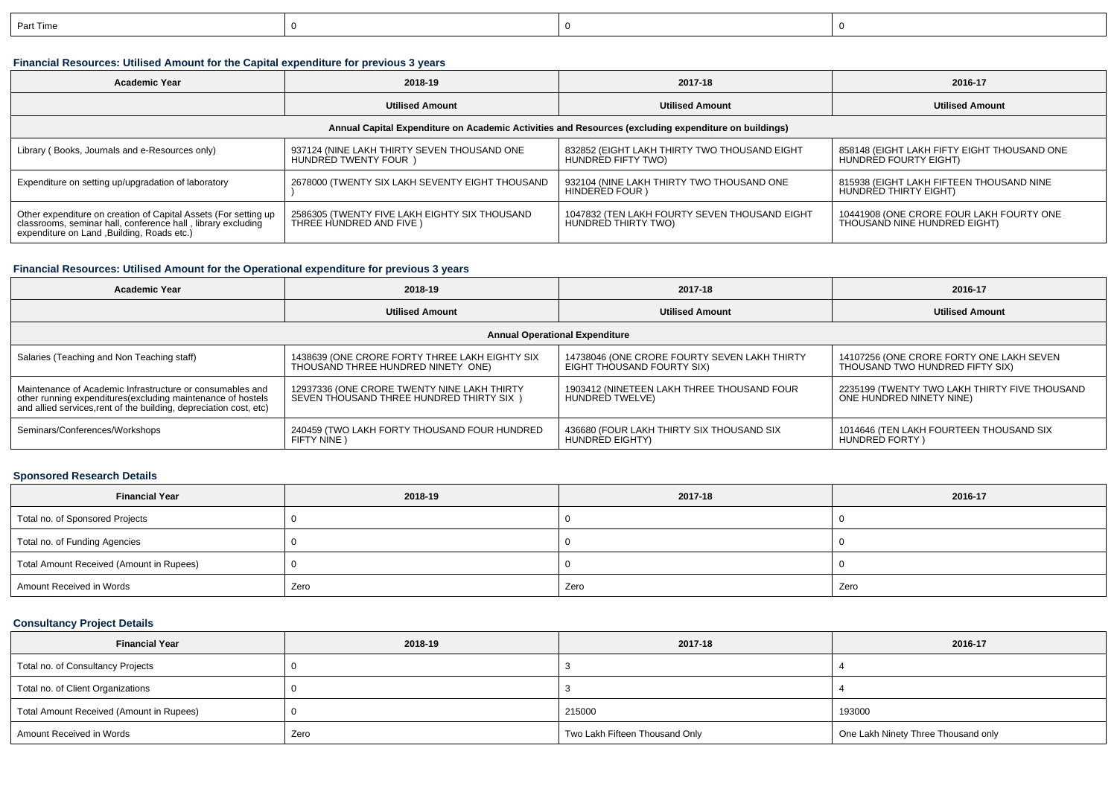| Part Time |  |  |
|-----------|--|--|
|           |  |  |

# **Financial Resources: Utilised Amount for the Capital expenditure for previous 3 years**

| <b>Academic Year</b>                                                                                                                                                           | 2018-19                                                                     | 2017-18                                                              | 2016-17                                                                  |  |  |
|--------------------------------------------------------------------------------------------------------------------------------------------------------------------------------|-----------------------------------------------------------------------------|----------------------------------------------------------------------|--------------------------------------------------------------------------|--|--|
|                                                                                                                                                                                | <b>Utilised Amount</b>                                                      | <b>Utilised Amount</b>                                               | <b>Utilised Amount</b>                                                   |  |  |
| Annual Capital Expenditure on Academic Activities and Resources (excluding expenditure on buildings)                                                                           |                                                                             |                                                                      |                                                                          |  |  |
| Library (Books, Journals and e-Resources only)                                                                                                                                 | 937124 (NINE LAKH THIRTY SEVEN THOUSAND ONE<br><b>HUNDRED TWENTY FOUR</b> ) | 832852 (EIGHT LAKH THIRTY TWO THOUSAND EIGHT<br>HUNDRED FIFTY TWO)   | 858148 (EIGHT LAKH FIFTY EIGHT THOUSAND ONE<br>HUNDRED FOURTY EIGHT)     |  |  |
| Expenditure on setting up/upgradation of laboratory                                                                                                                            | 2678000 (TWENTY SIX LAKH SEVENTY EIGHT THOUSAND                             | 932104 (NINE LAKH THIRTY TWO THOUSAND ONE<br>HINDERED FOUR )         | 815938 (EIGHT LAKH FIFTEEN THOUSAND NINE<br>HUNDRED THIRTY EIGHT)        |  |  |
| Other expenditure on creation of Capital Assets (For setting up<br>classrooms, seminar hall, conference hall, library excluding<br>expenditure on Land , Building, Roads etc.) | 2586305 (TWENTY FIVE LAKH EIGHTY SIX THOUSAND<br>THREE HUNDRED AND FIVE )   | 1047832 (TEN LAKH FOURTY SEVEN THOUSAND EIGHT<br>HUNDRED THIRTY TWO) | 10441908 (ONE CRORE FOUR LAKH FOURTY ONE<br>THOUSAND NINE HUNDRED EIGHT) |  |  |

### **Financial Resources: Utilised Amount for the Operational expenditure for previous 3 years**

| Academic Year                                                                                                                                                                                   | 2018-19                                                                                 | 2017-18                                                                    | 2016-17                                                                     |  |  |
|-------------------------------------------------------------------------------------------------------------------------------------------------------------------------------------------------|-----------------------------------------------------------------------------------------|----------------------------------------------------------------------------|-----------------------------------------------------------------------------|--|--|
|                                                                                                                                                                                                 | <b>Utilised Amount</b>                                                                  | <b>Utilised Amount</b>                                                     | <b>Utilised Amount</b>                                                      |  |  |
| <b>Annual Operational Expenditure</b>                                                                                                                                                           |                                                                                         |                                                                            |                                                                             |  |  |
| Salaries (Teaching and Non Teaching staff)                                                                                                                                                      | 1438639 (ONE CRORE FORTY THREE LAKH EIGHTY SIX<br>THOUSAND THREE HUNDRED NINETY ONE)    | 14738046 (ONE CRORE FOURTY SEVEN LAKH THIRTY<br>EIGHT THOUSAND FOURTY SIX) | 14107256 (ONE CRORE FORTY ONE LAKH SEVEN<br>THOUSAND TWO HUNDRED FIFTY SIX) |  |  |
| Maintenance of Academic Infrastructure or consumables and<br>other running expenditures (excluding maintenance of hostels<br>and allied services, rent of the building, depreciation cost, etc) | 12937336 (ONE CRORE TWENTY NINE LAKH THIRTY<br>SEVEN THOUSAND THREE HUNDRED THIRTY SIX) | 1903412 (NINETEEN LAKH THREE THOUSAND FOUR<br>HUNDRED TWELVE)              | 2235199 (TWENTY TWO LAKH THIRTY FIVE THOUSAND<br>ONE HUNDRED NINETY NINE)   |  |  |
| Seminars/Conferences/Workshops                                                                                                                                                                  | 240459 (TWO LAKH FORTY THOUSAND FOUR HUNDRED<br>FIFTY NINE )                            | 436680 (FOUR LAKH THIRTY SIX THOUSAND SIX<br>HUNDRED EIGHTY)               | 1014646 (TEN LAKH FOURTEEN THOUSAND SIX<br><b>HUNDRED FORTY</b>             |  |  |

#### **Sponsored Research Details**

| <b>Financial Year</b>                    | 2018-19 | 2017-18 | 2016-17 |
|------------------------------------------|---------|---------|---------|
| Total no. of Sponsored Projects          |         |         |         |
| Total no. of Funding Agencies            |         |         |         |
| Total Amount Received (Amount in Rupees) |         |         |         |
| Amount Received in Words                 | Zero    | Zero    | Zero    |

### **Consultancy Project Details**

| <b>Financial Year</b>                    | 2018-19 | 2017-18                        | 2016-17                             |
|------------------------------------------|---------|--------------------------------|-------------------------------------|
| Total no. of Consultancy Projects        |         |                                |                                     |
| Total no. of Client Organizations        |         |                                |                                     |
| Total Amount Received (Amount in Rupees) |         | 215000                         | 193000                              |
| Amount Received in Words                 | Zero    | Two Lakh Fifteen Thousand Only | One Lakh Ninety Three Thousand only |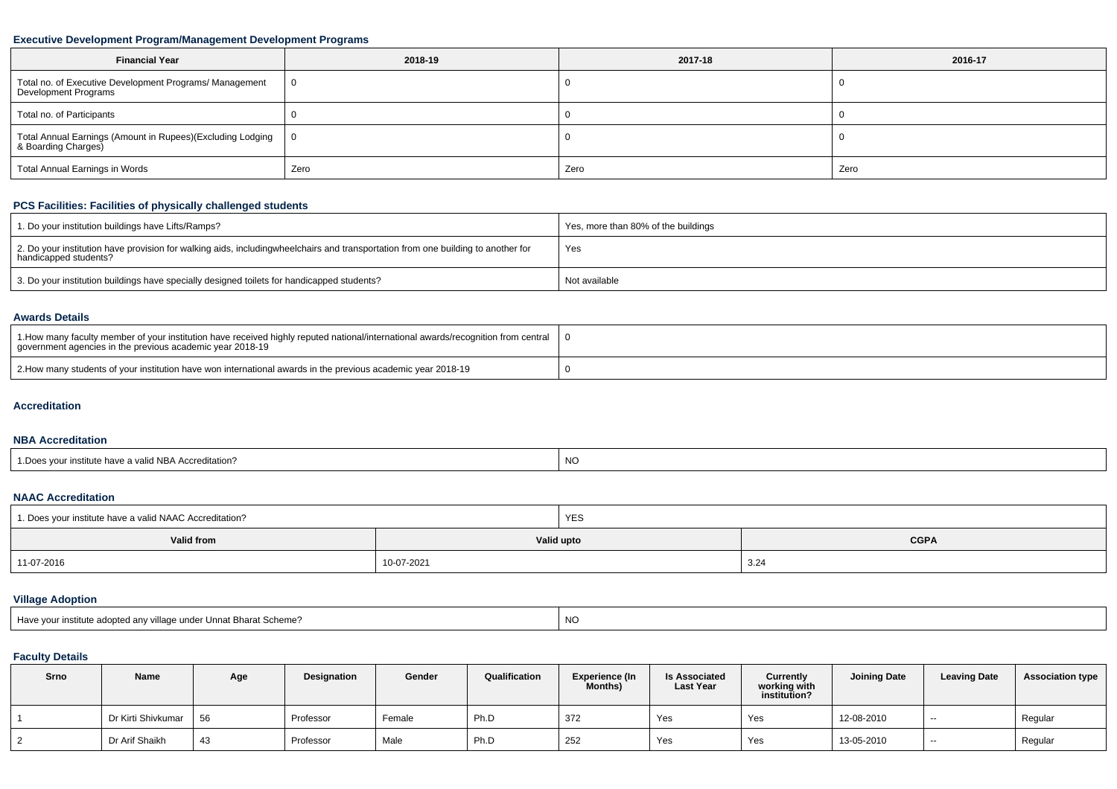### **Executive Development Program/Management Development Programs**

| <b>Financial Year</b>                                                            | 2018-19 | 2017-18 | 2016-17 |
|----------------------------------------------------------------------------------|---------|---------|---------|
| Total no. of Executive Development Programs/ Management<br>Development Programs  |         |         |         |
| Total no. of Participants                                                        |         |         |         |
| Total Annual Earnings (Amount in Rupees)(Excluding Lodging   & Boarding Charges) | - 0     |         |         |
| Total Annual Earnings in Words                                                   | Zero    | Zero    | Zero    |

# **PCS Facilities: Facilities of physically challenged students**

| 1. Do your institution buildings have Lifts/Ramps?                                                                                                        | Yes, more than 80% of the buildings |
|-----------------------------------------------------------------------------------------------------------------------------------------------------------|-------------------------------------|
| 2. Do your institution have provision for walking aids, includingwheelchairs and transportation from one building to another for<br>handicapped students? | Yes                                 |
| 3. Do your institution buildings have specially designed toilets for handicapped students?                                                                | Not available                       |

#### **Awards Details**

| 1. How many faculty member of your institution have received highly reputed national/international awards/recognition from central<br>government agencies in the previous academic year 2018-19 |  |
|-------------------------------------------------------------------------------------------------------------------------------------------------------------------------------------------------|--|
| 2. Alow many students of your institution have won international awards in the previous academic year 2018-19                                                                                   |  |

#### **Accreditation**

#### **NBA Accreditation**

| <b>NO</b><br>1. Does vour institute have a valid NBA Accreditation? |  |
|---------------------------------------------------------------------|--|
|---------------------------------------------------------------------|--|

#### **NAAC Accreditation**

| 1. Does your institute have a valid NAAC Accreditation? |            | <b>YES</b> |             |  |  |  |
|---------------------------------------------------------|------------|------------|-------------|--|--|--|
| Valid from                                              |            | Valid upto | <b>CGPA</b> |  |  |  |
| 11-07-2016                                              | 10-07-2021 |            | 3.24        |  |  |  |

# **Village Adoption**

| Have your institute adopted any village under Unnat Bharat Scheme? |  |
|--------------------------------------------------------------------|--|
|                                                                    |  |

# **Faculty Details**

| Srno | Name               | Age | <b>Designation</b> | Gender | Qualification | <b>Experience (In</b><br><b>Months)</b> | <b>Is Associated</b><br><b>Last Year</b> | Currently<br>working with<br>institution? | <b>Joining Date</b> | <b>Leaving Date</b> | <b>Association type</b> |
|------|--------------------|-----|--------------------|--------|---------------|-----------------------------------------|------------------------------------------|-------------------------------------------|---------------------|---------------------|-------------------------|
|      | Dr Kirti Shivkumar | 56  | Professor          | Female | Ph.D          | 372                                     | Yes                                      | Yes                                       | 12-08-2010          | $- -$               | Regular                 |
|      | Dr Arif Shaikh     | 43  | Professor          | Male   | Ph.D          | 252                                     | Yes                                      | Yes                                       | 13-05-2010          | $\sim$              | Regular                 |